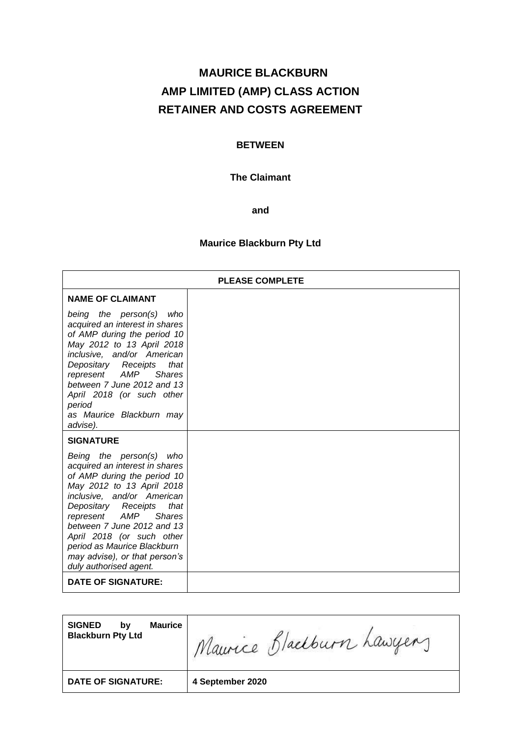# **MAURICE BLACKBURN AMP LIMITED (AMP) CLASS ACTION RETAINER AND COSTS AGREEMENT**

# **BETWEEN**

# **The Claimant**

**and**

# **Maurice Blackburn Pty Ltd**

| <b>PLEASE COMPLETE</b>                                                                                                                                                                                                                                                                                                                                                       |  |  |
|------------------------------------------------------------------------------------------------------------------------------------------------------------------------------------------------------------------------------------------------------------------------------------------------------------------------------------------------------------------------------|--|--|
| <b>NAME OF CLAIMANT</b>                                                                                                                                                                                                                                                                                                                                                      |  |  |
| being the person(s)<br>who<br>acquired an interest in shares<br>of AMP during the period 10<br>May 2012 to 13 April 2018<br>inclusive, and/or American<br>Depositary Receipts<br>that<br>represent AMP<br><b>Shares</b><br>between 7 June 2012 and 13<br>April 2018 (or such other<br>period<br>as Maurice Blackburn may<br>advise).                                         |  |  |
| <b>SIGNATURE</b>                                                                                                                                                                                                                                                                                                                                                             |  |  |
| Being the person(s)<br>who<br>acquired an interest in shares<br>of AMP during the period 10<br>May 2012 to 13 April 2018<br>inclusive, and/or American<br>Depositary Receipts<br>that<br>represent AMP<br><b>Shares</b><br>between 7 June 2012 and 13<br>April 2018 (or such other<br>period as Maurice Blackburn<br>may advise), or that person's<br>duly authorised agent. |  |  |
| <b>DATE OF SIGNATURE:</b>                                                                                                                                                                                                                                                                                                                                                    |  |  |

| <b>DATE OF SIGNATURE:</b>                                         | 4 September 2020         |
|-------------------------------------------------------------------|--------------------------|
| <b>SIGNED</b><br><b>Maurice</b><br>b٧<br><b>Blackburn Pty Ltd</b> | Maurice Blackburn Lawyer |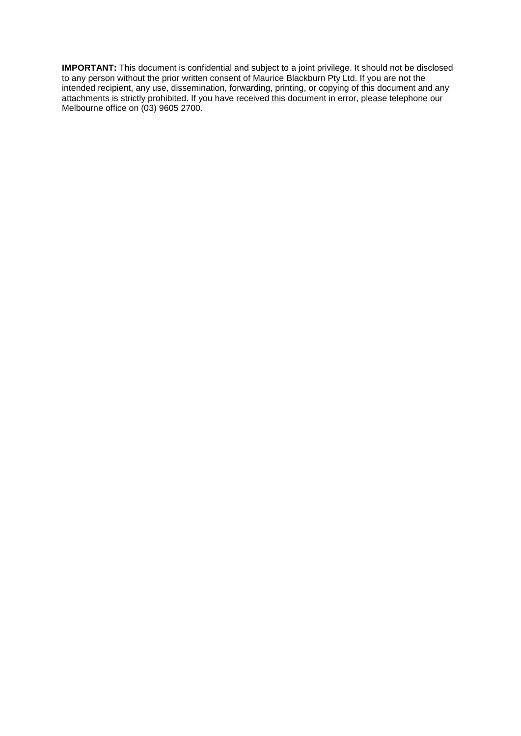**IMPORTANT:** This document is confidential and subject to a joint privilege. It should not be disclosed to any person without the prior written consent of Maurice Blackburn Pty Ltd. If you are not the intended recipient, any use, dissemination, forwarding, printing, or copying of this document and any attachments is strictly prohibited. If you have received this document in error, please telephone our Melbourne office on (03) 9605 2700.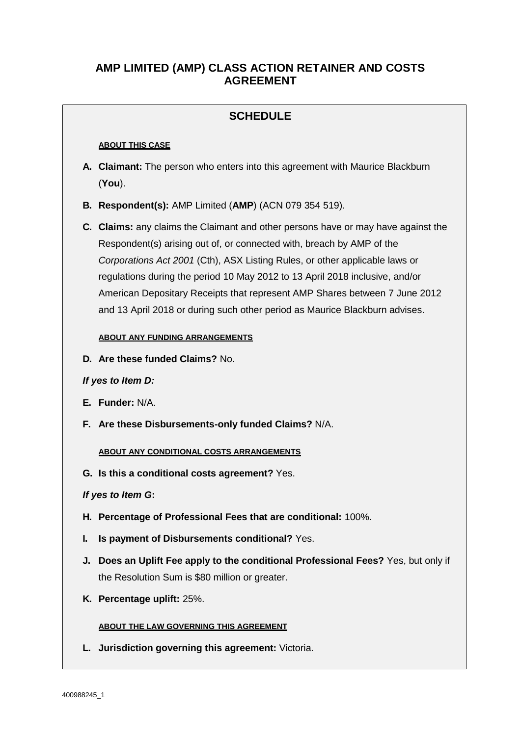# **AMP LIMITED (AMP) CLASS ACTION RETAINER AND COSTS AGREEMENT**

# **SCHEDULE**

#### **ABOUT THIS CASE**

- **A. Claimant:** The person who enters into this agreement with Maurice Blackburn (**You**).
- **B. Respondent(s):** AMP Limited (**AMP**) (ACN 079 354 519).

**C. Claims:** any claims the Claimant and other persons have or may have against the Respondent(s) arising out of, or connected with, breach by AMP of the *Corporations Act 2001* (Cth), ASX Listing Rules, or other applicable laws or regulations during the period 10 May 2012 to 13 April 2018 inclusive, and/or American Depositary Receipts that represent AMP Shares between 7 June 2012 and 13 April 2018 or during such other period as Maurice Blackburn advises.

#### **ABOUT ANY FUNDING ARRANGEMENTS**

**D. Are these funded Claims?** No.

## *If yes to Item D:*

- **E. Funder:** N/A.
- **F. Are these Disbursements-only funded Claims?** N/A.

#### **ABOUT ANY CONDITIONAL COSTS ARRANGEMENTS**

**G. Is this a conditional costs agreement?** Yes.

## *If yes to Item G***:**

- **H. Percentage of Professional Fees that are conditional:** 100%.
- **I. Is payment of Disbursements conditional?** Yes.
- **J. Does an Uplift Fee apply to the conditional Professional Fees?** Yes, but only if the Resolution Sum is \$80 million or greater.
- **K. Percentage uplift:** 25%.

#### **ABOUT THE LAW GOVERNING THIS AGREEMENT**

**L. Jurisdiction governing this agreement:** Victoria.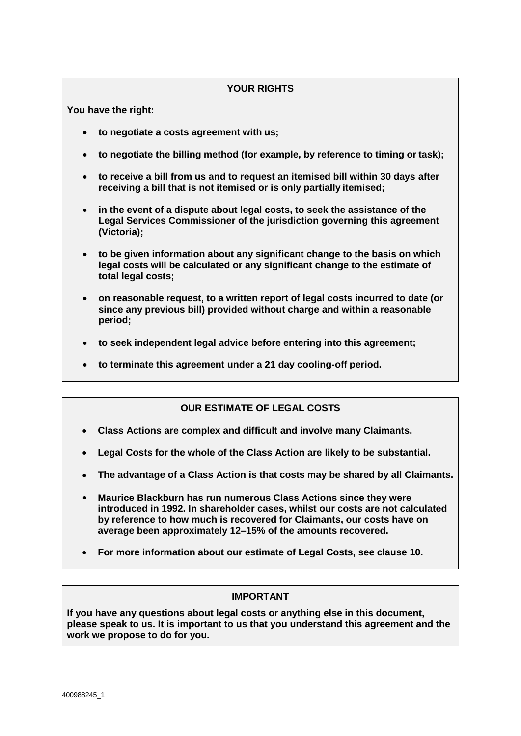# **YOUR RIGHTS**

**You have the right:**

- **to negotiate a costs agreement with us;**
- **to negotiate the billing method (for example, by reference to timing or task);**
- **to receive a bill from us and to request an itemised bill within 30 days after receiving a bill that is not itemised or is only partially itemised;**
- **in the event of a dispute about legal costs, to seek the assistance of the Legal Services Commissioner of the jurisdiction governing this agreement (Victoria);**
- **to be given information about any significant change to the basis on which legal costs will be calculated or any significant change to the estimate of total legal costs;**
- **on reasonable request, to a written report of legal costs incurred to date (or since any previous bill) provided without charge and within a reasonable period;**
- **to seek independent legal advice before entering into this agreement;**
- **to terminate this agreement under a 21 day cooling-off period.**

# **OUR ESTIMATE OF LEGAL COSTS**

- **Class Actions are complex and difficult and involve many Claimants.**
- **Legal Costs for the whole of the Class Action are likely to be substantial.** •
- **The advantage of a Class Action is that costs may be shared by all Claimants.** •
- **Maurice Blackburn has run numerous Class Actions since they were introduced in 1992. In shareholder cases, whilst our costs are not calculated by reference to how much is recovered for Claimants, our costs have on average been approximately 12–15% of the amounts recovered.** •
- **For more information about our estimate of Legal Costs, see clause 10.** •

## **IMPORTANT**

**If you have any questions about legal costs or anything else in this document, please speak to us. It is important to us that you understand this agreement and the work we propose to do for you.**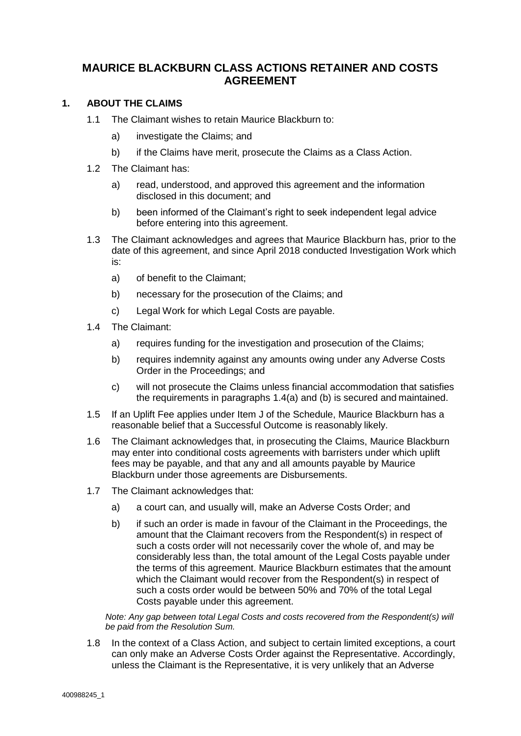# **MAURICE BLACKBURN CLASS ACTIONS RETAINER AND COSTS AGREEMENT**

## **1. ABOUT THE CLAIMS**

- 1.1 The Claimant wishes to retain Maurice Blackburn to:
	- a) investigate the Claims; and
	- b) if the Claims have merit, prosecute the Claims as a Class Action.
- 1.2 The Claimant has:
	- a) read, understood, and approved this agreement and the information disclosed in this document; and
	- b) been informed of the Claimant's right to seek independent legal advice before entering into this agreement.
- 1.3 The Claimant acknowledges and agrees that Maurice Blackburn has, prior to the date of this agreement, and since April 2018 conducted Investigation Work which is:
	- a) of benefit to the Claimant;
	- b) necessary for the prosecution of the Claims; and
	- c) Legal Work for which Legal Costs are payable.
- 1.4 The Claimant:
	- a) requires funding for the investigation and prosecution of the Claims;
	- b) requires indemnity against any amounts owing under any Adverse Costs Order in the Proceedings; and
	- c) will not prosecute the Claims unless financial accommodation that satisfies the requirements in paragraphs 1.4(a) and (b) is secured and maintained.
- 1.5 If an Uplift Fee applies under Item J of the Schedule, Maurice Blackburn has a reasonable belief that a Successful Outcome is reasonably likely.
- 1.6 The Claimant acknowledges that, in prosecuting the Claims, Maurice Blackburn may enter into conditional costs agreements with barristers under which uplift fees may be payable, and that any and all amounts payable by Maurice Blackburn under those agreements are Disbursements.
- 1.7 The Claimant acknowledges that:
	- a) a court can, and usually will, make an Adverse Costs Order; and
	- b) if such an order is made in favour of the Claimant in the Proceedings, the amount that the Claimant recovers from the Respondent(s) in respect of such a costs order will not necessarily cover the whole of, and may be considerably less than, the total amount of the Legal Costs payable under the terms of this agreement. Maurice Blackburn estimates that the amount which the Claimant would recover from the Respondent(s) in respect of such a costs order would be between 50% and 70% of the total Legal Costs payable under this agreement.

*Note: Any gap between total Legal Costs and costs recovered from the Respondent(s) will be paid from the Resolution Sum.*

1.8 In the context of a Class Action, and subject to certain limited exceptions, a court can only make an Adverse Costs Order against the Representative. Accordingly, unless the Claimant is the Representative, it is very unlikely that an Adverse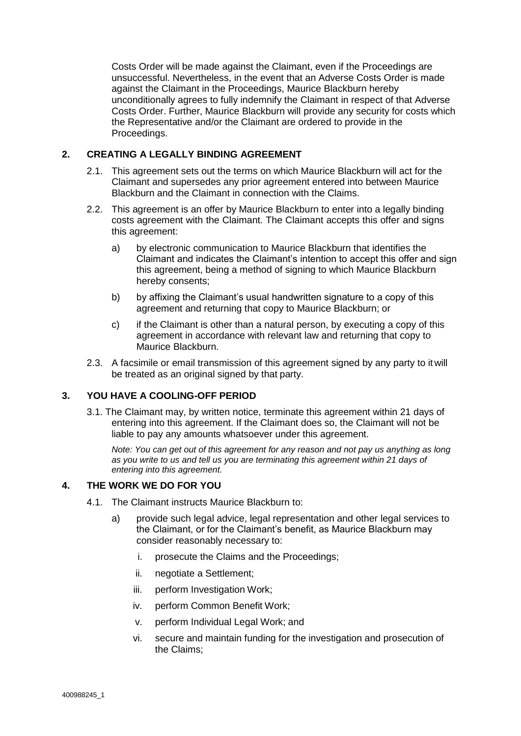Costs Order will be made against the Claimant, even if the Proceedings are unsuccessful. Nevertheless, in the event that an Adverse Costs Order is made against the Claimant in the Proceedings, Maurice Blackburn hereby unconditionally agrees to fully indemnify the Claimant in respect of that Adverse Costs Order. Further, Maurice Blackburn will provide any security for costs which the Representative and/or the Claimant are ordered to provide in the Proceedings.

# **2. CREATING A LEGALLY BINDING AGREEMENT**

- 2.1. This agreement sets out the terms on which Maurice Blackburn will act for the Claimant and supersedes any prior agreement entered into between Maurice Blackburn and the Claimant in connection with the Claims.
- 2.2. This agreement is an offer by Maurice Blackburn to enter into a legally binding costs agreement with the Claimant. The Claimant accepts this offer and signs this agreement:
	- a) by electronic communication to Maurice Blackburn that identifies the Claimant and indicates the Claimant's intention to accept this offer and sign this agreement, being a method of signing to which Maurice Blackburn hereby consents;
	- b) by affixing the Claimant's usual handwritten signature to a copy of this agreement and returning that copy to Maurice Blackburn; or
	- c) if the Claimant is other than a natural person, by executing a copy of this agreement in accordance with relevant law and returning that copy to Maurice Blackburn.
- 2.3. A facsimile or email transmission of this agreement signed by any party to it will be treated as an original signed by that party.

## **3. YOU HAVE A COOLING-OFF PERIOD**

3.1. The Claimant may, by written notice, terminate this agreement within 21 days of entering into this agreement. If the Claimant does so, the Claimant will not be liable to pay any amounts whatsoever under this agreement.

*Note: You can get out of this agreement for any reason and not pay us anything as long as you write to us and tell us you are terminating this agreement within 21 days of entering into this agreement.*

## **4. THE WORK WE DO FOR YOU**

- 4.1. The Claimant instructs Maurice Blackburn to:
	- a) provide such legal advice, legal representation and other legal services to the Claimant, or for the Claimant's benefit, as Maurice Blackburn may consider reasonably necessary to:
		- i. prosecute the Claims and the Proceedings;
		- ii. negotiate a Settlement;
		- iii. perform Investigation Work;
		- iv. perform Common Benefit Work;
		- v. perform Individual Legal Work; and
		- vi. secure and maintain funding for the investigation and prosecution of the Claims;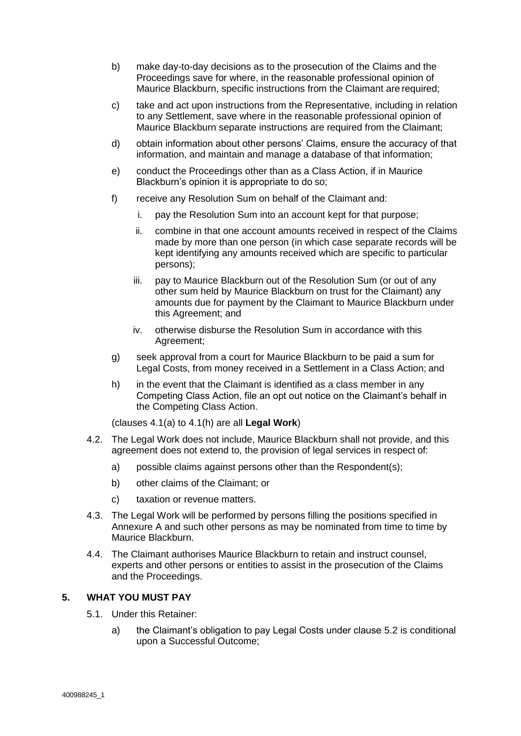- b) make day-to-day decisions as to the prosecution of the Claims and the Proceedings save for where, in the reasonable professional opinion of Maurice Blackburn, specific instructions from the Claimant are required;
- c) take and act upon instructions from the Representative, including in relation to any Settlement, save where in the reasonable professional opinion of Maurice Blackburn separate instructions are required from the Claimant;
- d) obtain information about other persons' Claims, ensure the accuracy of that information, and maintain and manage a database of that information;
- e) conduct the Proceedings other than as a Class Action, if in Maurice Blackburn's opinion it is appropriate to do so;
- f) receive any Resolution Sum on behalf of the Claimant and:
	- i. pay the Resolution Sum into an account kept for that purpose;
	- ii. combine in that one account amounts received in respect of the Claims made by more than one person (in which case separate records will be kept identifying any amounts received which are specific to particular persons);
	- iii. pay to Maurice Blackburn out of the Resolution Sum (or out of any other sum held by Maurice Blackburn on trust for the Claimant) any amounts due for payment by the Claimant to Maurice Blackburn under this Agreement; and
	- iv. otherwise disburse the Resolution Sum in accordance with this Agreement;
- g) seek approval from a court for Maurice Blackburn to be paid a sum for Legal Costs, from money received in a Settlement in a Class Action; and
- h) in the event that the Claimant is identified as a class member in any Competing Class Action, file an opt out notice on the Claimant's behalf in the Competing Class Action.

(clauses 4.1(a) to 4.1(h) are all **Legal Work**)

- 4.2. The Legal Work does not include, Maurice Blackburn shall not provide, and this agreement does not extend to, the provision of legal services in respect of:
	- a) possible claims against persons other than the Respondent(s);
	- b) other claims of the Claimant; or
	- c) taxation or revenue matters.
- 4.3. The Legal Work will be performed by persons filling the positions specified in Annexure A and such other persons as may be nominated from time to time by Maurice Blackburn.
- 4.4. The Claimant authorises Maurice Blackburn to retain and instruct counsel, experts and other persons or entities to assist in the prosecution of the Claims and the Proceedings.

# **5. WHAT YOU MUST PAY**

- 5.1. Under this Retainer:
	- a) the Claimant's obligation to pay Legal Costs under clause 5.2 is conditional upon a Successful Outcome;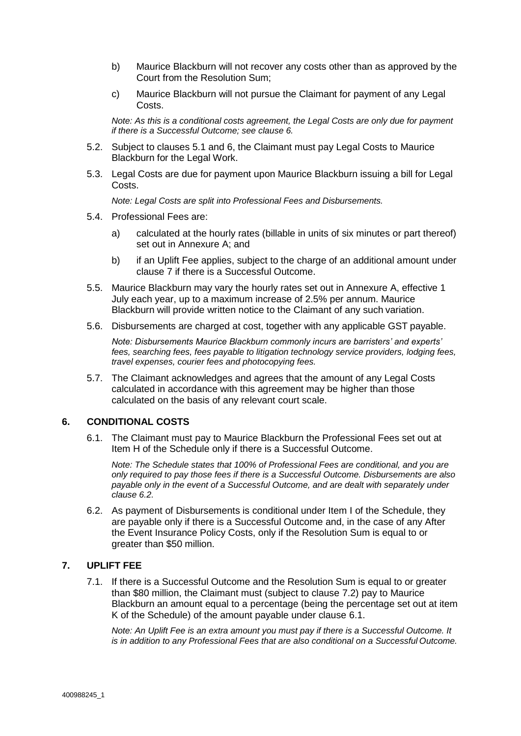- b) Maurice Blackburn will not recover any costs other than as approved by the Court from the Resolution Sum;
- c) Maurice Blackburn will not pursue the Claimant for payment of any Legal Costs.

*Note: As this is a conditional costs agreement, the Legal Costs are only due for payment if there is a Successful Outcome; see clause 6.*

- 5.2. Subject to clauses 5.1 and 6, the Claimant must pay Legal Costs to Maurice Blackburn for the Legal Work.
- 5.3. Legal Costs are due for payment upon Maurice Blackburn issuing a bill for Legal Costs.

*Note: Legal Costs are split into Professional Fees and Disbursements.*

- 5.4. Professional Fees are:
	- a) calculated at the hourly rates (billable in units of six minutes or part thereof) set out in Annexure A; and
	- b) if an Uplift Fee applies, subject to the charge of an additional amount under clause 7 if there is a Successful Outcome.
- 5.5. Maurice Blackburn may vary the hourly rates set out in Annexure A, effective 1 July each year, up to a maximum increase of 2.5% per annum. Maurice Blackburn will provide written notice to the Claimant of any such variation.
- 5.6. Disbursements are charged at cost, together with any applicable GST payable.

*Note: Disbursements Maurice Blackburn commonly incurs are barristers' and experts' fees, searching fees, fees payable to litigation technology service providers, lodging fees, travel expenses, courier fees and photocopying fees.*

5.7. The Claimant acknowledges and agrees that the amount of any Legal Costs calculated in accordance with this agreement may be higher than those calculated on the basis of any relevant court scale.

#### **6. CONDITIONAL COSTS**

6.1. The Claimant must pay to Maurice Blackburn the Professional Fees set out at Item H of the Schedule only if there is a Successful Outcome.

*Note: The Schedule states that 100% of Professional Fees are conditional, and you are only required to pay those fees if there is a Successful Outcome. Disbursements are also payable only in the event of a Successful Outcome, and are dealt with separately under clause 6.2.*

6.2. As payment of Disbursements is conditional under Item I of the Schedule, they are payable only if there is a Successful Outcome and, in the case of any After the Event Insurance Policy Costs, only if the Resolution Sum is equal to or greater than \$50 million.

# **7. UPLIFT FEE**

7.1. If there is a Successful Outcome and the Resolution Sum is equal to or greater than \$80 million, the Claimant must (subject to clause 7.2) pay to Maurice Blackburn an amount equal to a percentage (being the percentage set out at item K of the Schedule) of the amount payable under clause 6.1.

*Note: An Uplift Fee is an extra amount you must pay if there is a Successful Outcome. It is in addition to any Professional Fees that are also conditional on a Successful Outcome.*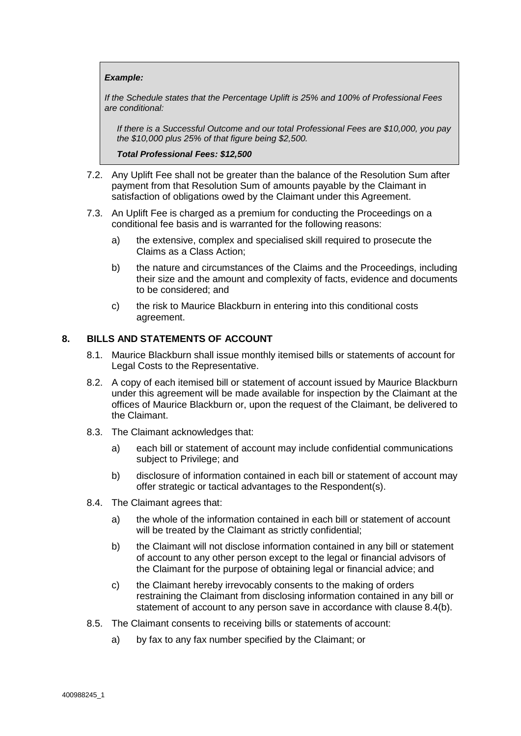#### *Example:*

*If the Schedule states that the Percentage Uplift is 25% and 100% of Professional Fees are conditional:*

*If there is a Successful Outcome and our total Professional Fees are \$10,000, you pay the \$10,000 plus 25% of that figure being \$2,500.*

*Total Professional Fees: \$12,500*

- 7.2. Any Uplift Fee shall not be greater than the balance of the Resolution Sum after payment from that Resolution Sum of amounts payable by the Claimant in satisfaction of obligations owed by the Claimant under this Agreement.
- 7.3. An Uplift Fee is charged as a premium for conducting the Proceedings on a conditional fee basis and is warranted for the following reasons:
	- a) the extensive, complex and specialised skill required to prosecute the Claims as a Class Action;
	- b) the nature and circumstances of the Claims and the Proceedings, including their size and the amount and complexity of facts, evidence and documents to be considered; and
	- c) the risk to Maurice Blackburn in entering into this conditional costs agreement.

#### **8. BILLS AND STATEMENTS OF ACCOUNT**

- 8.1. Maurice Blackburn shall issue monthly itemised bills or statements of account for Legal Costs to the Representative.
- 8.2. A copy of each itemised bill or statement of account issued by Maurice Blackburn under this agreement will be made available for inspection by the Claimant at the offices of Maurice Blackburn or, upon the request of the Claimant, be delivered to the Claimant.
- 8.3. The Claimant acknowledges that:
	- a) each bill or statement of account may include confidential communications subject to Privilege; and
	- b) disclosure of information contained in each bill or statement of account may offer strategic or tactical advantages to the Respondent(s).
- 8.4. The Claimant agrees that:
	- a) the whole of the information contained in each bill or statement of account will be treated by the Claimant as strictly confidential;
	- b) the Claimant will not disclose information contained in any bill or statement of account to any other person except to the legal or financial advisors of the Claimant for the purpose of obtaining legal or financial advice; and
	- c) the Claimant hereby irrevocably consents to the making of orders restraining the Claimant from disclosing information contained in any bill or statement of account to any person save in accordance with clause 8.4(b).
- 8.5. The Claimant consents to receiving bills or statements of account:
	- a) by fax to any fax number specified by the Claimant; or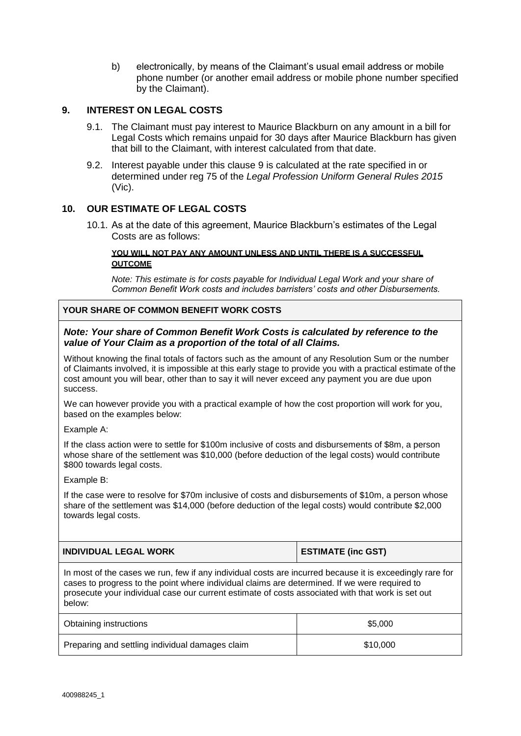b) electronically, by means of the Claimant's usual email address or mobile phone number (or another email address or mobile phone number specified by the Claimant).

# **9. INTEREST ON LEGAL COSTS**

- 9.1. The Claimant must pay interest to Maurice Blackburn on any amount in a bill for Legal Costs which remains unpaid for 30 days after Maurice Blackburn has given that bill to the Claimant, with interest calculated from that date.
- 9.2. Interest payable under this clause 9 is calculated at the rate specified in or determined under reg 75 of the *Legal Profession Uniform General Rules 2015*  (Vic).

#### **10. OUR ESTIMATE OF LEGAL COSTS**

10.1. As at the date of this agreement, Maurice Blackburn's estimates of the Legal Costs are as follows:

#### **YOU WILL NOT PAY ANY AMOUNT UNLESS AND UNTIL THERE IS A SUCCESSFUL OUTCOME**

*Note: This estimate is for costs payable for Individual Legal Work and your share of Common Benefit Work costs and includes barristers' costs and other Disbursements.*

#### **YOUR SHARE OF COMMON BENEFIT WORK COSTS**

#### *Note: Your share of Common Benefit Work Costs is calculated by reference to the value of Your Claim as a proportion of the total of all Claims.*

Without knowing the final totals of factors such as the amount of any Resolution Sum or the number of Claimants involved, it is impossible at this early stage to provide you with a practical estimate of the cost amount you will bear, other than to say it will never exceed any payment you are due upon success.

We can however provide you with a practical example of how the cost proportion will work for you, based on the examples below:

Example A:

If the class action were to settle for \$100m inclusive of costs and disbursements of \$8m, a person whose share of the settlement was \$10,000 (before deduction of the legal costs) would contribute \$800 towards legal costs.

Example B:

If the case were to resolve for \$70m inclusive of costs and disbursements of \$10m, a person whose share of the settlement was \$14,000 (before deduction of the legal costs) would contribute \$2,000 towards legal costs.

| <b>INDIVIDUAL LEGAL WORK</b>                                                                             | <b>ESTIMATE (inc GST)</b> |  |  |  |
|----------------------------------------------------------------------------------------------------------|---------------------------|--|--|--|
| In most of the cases we run, few if any individual costs are incurred because it is exceedingly rare for |                           |  |  |  |

cases to progress to the point where individual claims are determined. If we were required to prosecute your individual case our current estimate of costs associated with that work is set out below:

| Obtaining instructions                          | \$5,000  |
|-------------------------------------------------|----------|
| Preparing and settling individual damages claim | \$10,000 |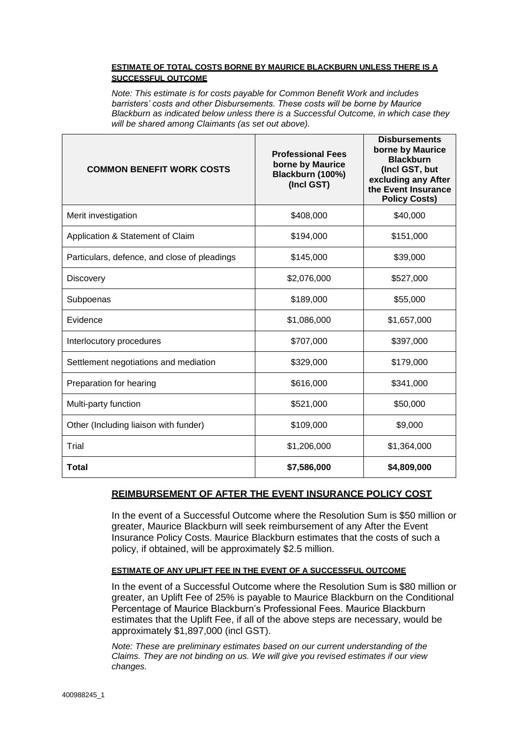#### **ESTIMATE OF TOTAL COSTS BORNE BY MAURICE BLACKBURN UNLESS THERE IS A SUCCESSFUL OUTCOME**

*Note: This estimate is for costs payable for Common Benefit Work and includes barristers' costs and other Disbursements. These costs will be borne by Maurice Blackburn as indicated below unless there is a Successful Outcome, in which case they will be shared among Claimants (as set out above).*

| <b>COMMON BENEFIT WORK COSTS</b>             | <b>Professional Fees</b><br>borne by Maurice<br>Blackburn (100%)<br>(Incl GST) | <b>Disbursements</b><br>borne by Maurice<br><b>Blackburn</b><br>(Incl GST, but<br>excluding any After<br>the Event Insurance<br><b>Policy Costs)</b> |
|----------------------------------------------|--------------------------------------------------------------------------------|------------------------------------------------------------------------------------------------------------------------------------------------------|
| Merit investigation                          | \$408,000                                                                      | \$40,000                                                                                                                                             |
| Application & Statement of Claim             | \$194,000                                                                      | \$151,000                                                                                                                                            |
| Particulars, defence, and close of pleadings | \$145,000                                                                      | \$39,000                                                                                                                                             |
| <b>Discovery</b>                             | \$2,076,000                                                                    | \$527,000                                                                                                                                            |
| Subpoenas                                    | \$189,000                                                                      | \$55,000                                                                                                                                             |
| Evidence                                     | \$1,086,000                                                                    | \$1,657,000                                                                                                                                          |
| Interlocutory procedures                     | \$707,000                                                                      | \$397,000                                                                                                                                            |
| Settlement negotiations and mediation        | \$329,000                                                                      | \$179,000                                                                                                                                            |
| Preparation for hearing                      | \$616,000                                                                      | \$341,000                                                                                                                                            |
| Multi-party function                         | \$521,000                                                                      | \$50,000                                                                                                                                             |
| Other (Including liaison with funder)        | \$109,000                                                                      | \$9,000                                                                                                                                              |
| Trial                                        | \$1,206,000                                                                    | \$1,364,000                                                                                                                                          |
| Total                                        | \$7,586,000                                                                    | \$4,809,000                                                                                                                                          |

# **REIMBURSEMENT OF AFTER THE EVENT INSURANCE POLICY COST**

In the event of a Successful Outcome where the Resolution Sum is \$50 million or greater, Maurice Blackburn will seek reimbursement of any After the Event Insurance Policy Costs. Maurice Blackburn estimates that the costs of such a policy, if obtained, will be approximately \$2.5 million.

#### **ESTIMATE OF ANY UPLIFT FEE IN THE EVENT OF A SUCCESSFUL OUTCOME**

In the event of a Successful Outcome where the Resolution Sum is \$80 million or greater, an Uplift Fee of 25% is payable to Maurice Blackburn on the Conditional Percentage of Maurice Blackburn's Professional Fees. Maurice Blackburn estimates that the Uplift Fee, if all of the above steps are necessary, would be approximately \$1,897,000 (incl GST).

*Note: These are preliminary estimates based on our current understanding of the Claims. They are not binding on us. We will give you revised estimates if our view changes.*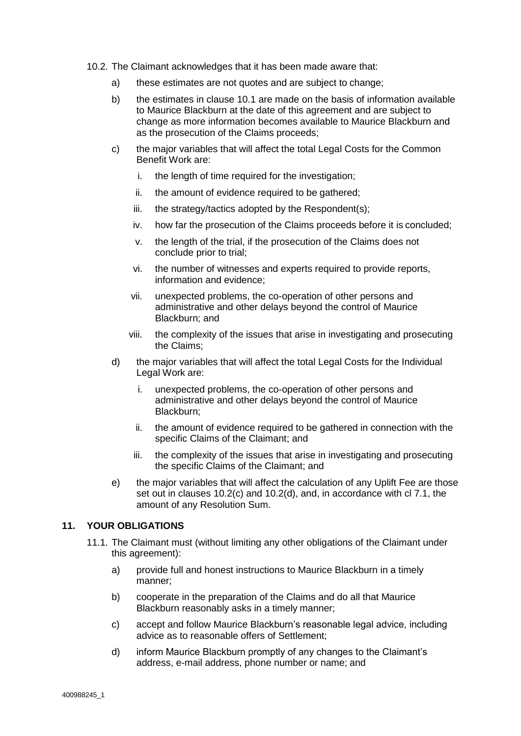- 10.2. The Claimant acknowledges that it has been made aware that:
	- a) these estimates are not quotes and are subject to change;
	- b) the estimates in clause 10.1 are made on the basis of information available to Maurice Blackburn at the date of this agreement and are subject to change as more information becomes available to Maurice Blackburn and as the prosecution of the Claims proceeds;
	- c) the major variables that will affect the total Legal Costs for the Common Benefit Work are:
		- i. the length of time required for the investigation;
		- ii. the amount of evidence required to be gathered;
		- iii. the strategy/tactics adopted by the Respondent(s);
		- iv. how far the prosecution of the Claims proceeds before it is concluded;
		- v. the length of the trial, if the prosecution of the Claims does not conclude prior to trial;
		- vi. the number of witnesses and experts required to provide reports, information and evidence;
		- vii. unexpected problems, the co-operation of other persons and administrative and other delays beyond the control of Maurice Blackburn; and
		- viii. the complexity of the issues that arise in investigating and prosecuting the Claims;
	- d) the major variables that will affect the total Legal Costs for the Individual Legal Work are:
		- i. unexpected problems, the co-operation of other persons and administrative and other delays beyond the control of Maurice Blackburn;
		- ii. the amount of evidence required to be gathered in connection with the specific Claims of the Claimant; and
		- iii. the complexity of the issues that arise in investigating and prosecuting the specific Claims of the Claimant; and
	- e) the major variables that will affect the calculation of any Uplift Fee are those set out in clauses 10.2(c) and 10.2(d), and, in accordance with cl 7.1, the amount of any Resolution Sum.

#### **11. YOUR OBLIGATIONS**

- 11.1. The Claimant must (without limiting any other obligations of the Claimant under this agreement):
	- a) provide full and honest instructions to Maurice Blackburn in a timely manner;
	- b) cooperate in the preparation of the Claims and do all that Maurice Blackburn reasonably asks in a timely manner;
	- c) accept and follow Maurice Blackburn's reasonable legal advice, including advice as to reasonable offers of Settlement;
	- d) inform Maurice Blackburn promptly of any changes to the Claimant's address, e-mail address, phone number or name; and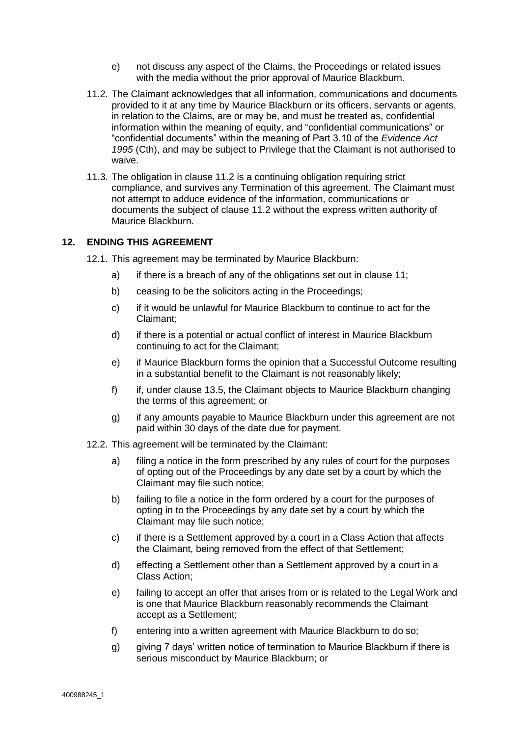- e) not discuss any aspect of the Claims, the Proceedings or related issues with the media without the prior approval of Maurice Blackburn.
- 11.2. The Claimant acknowledges that all information, communications and documents provided to it at any time by Maurice Blackburn or its officers, servants or agents, in relation to the Claims, are or may be, and must be treated as, confidential information within the meaning of equity, and "confidential communications" or "confidential documents" within the meaning of Part 3.10 of the *Evidence Act 1995* (Cth), and may be subject to Privilege that the Claimant is not authorised to waive.
- 11.3. The obligation in clause 11.2 is a continuing obligation requiring strict compliance, and survives any Termination of this agreement. The Claimant must not attempt to adduce evidence of the information, communications or documents the subject of clause 11.2 without the express written authority of Maurice Blackburn.

## **12. ENDING THIS AGREEMENT**

- 12.1. This agreement may be terminated by Maurice Blackburn:
	- a) if there is a breach of any of the obligations set out in clause 11;
	- b) ceasing to be the solicitors acting in the Proceedings;
	- c) if it would be unlawful for Maurice Blackburn to continue to act for the Claimant;
	- d) if there is a potential or actual conflict of interest in Maurice Blackburn continuing to act for the Claimant;
	- e) if Maurice Blackburn forms the opinion that a Successful Outcome resulting in a substantial benefit to the Claimant is not reasonably likely;
	- f) if, under clause 13.5, the Claimant objects to Maurice Blackburn changing the terms of this agreement; or
	- g) if any amounts payable to Maurice Blackburn under this agreement are not paid within 30 days of the date due for payment.
- 12.2. This agreement will be terminated by the Claimant:
	- a) filing a notice in the form prescribed by any rules of court for the purposes of opting out of the Proceedings by any date set by a court by which the Claimant may file such notice;
	- b) failing to file a notice in the form ordered by a court for the purposes of opting in to the Proceedings by any date set by a court by which the Claimant may file such notice;
	- c) if there is a Settlement approved by a court in a Class Action that affects the Claimant, being removed from the effect of that Settlement;
	- d) effecting a Settlement other than a Settlement approved by a court in a Class Action;
	- e) failing to accept an offer that arises from or is related to the Legal Work and is one that Maurice Blackburn reasonably recommends the Claimant accept as a Settlement;
	- f) entering into a written agreement with Maurice Blackburn to do so;
	- g) giving 7 days' written notice of termination to Maurice Blackburn if there is serious misconduct by Maurice Blackburn; or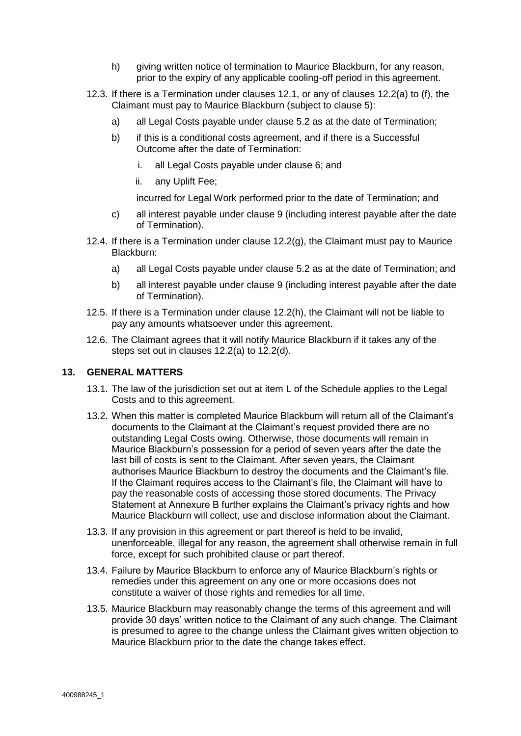- h) giving written notice of termination to Maurice Blackburn, for any reason, prior to the expiry of any applicable cooling-off period in this agreement.
- 12.3. If there is a Termination under clauses 12.1, or any of clauses 12.2(a) to (f), the Claimant must pay to Maurice Blackburn (subject to clause 5):
	- a) all Legal Costs payable under clause 5.2 as at the date of Termination;
	- b) if this is a conditional costs agreement, and if there is a Successful Outcome after the date of Termination:
		- i. all Legal Costs payable under clause 6; and
		- ii. any Uplift Fee;
		- incurred for Legal Work performed prior to the date of Termination; and
	- c) all interest payable under clause 9 (including interest payable after the date of Termination).
- 12.4. If there is a Termination under clause 12.2(g), the Claimant must pay to Maurice Blackburn:
	- a) all Legal Costs payable under clause 5.2 as at the date of Termination; and
	- b) all interest payable under clause 9 (including interest payable after the date of Termination).
- 12.5. If there is a Termination under clause 12.2(h), the Claimant will not be liable to pay any amounts whatsoever under this agreement.
- 12.6. The Claimant agrees that it will notify Maurice Blackburn if it takes any of the steps set out in clauses 12.2(a) to 12.2(d).

### **13. GENERAL MATTERS**

- 13.1. The law of the jurisdiction set out at item L of the Schedule applies to the Legal Costs and to this agreement.
- 13.2. When this matter is completed Maurice Blackburn will return all of the Claimant's documents to the Claimant at the Claimant's request provided there are no outstanding Legal Costs owing. Otherwise, those documents will remain in Maurice Blackburn's possession for a period of seven years after the date the last bill of costs is sent to the Claimant. After seven years, the Claimant authorises Maurice Blackburn to destroy the documents and the Claimant's file. If the Claimant requires access to the Claimant's file, the Claimant will have to pay the reasonable costs of accessing those stored documents. The Privacy Statement at Annexure B further explains the Claimant's privacy rights and how Maurice Blackburn will collect, use and disclose information about the Claimant.
- 13.3. If any provision in this agreement or part thereof is held to be invalid, unenforceable, illegal for any reason, the agreement shall otherwise remain in full force, except for such prohibited clause or part thereof.
- 13.4. Failure by Maurice Blackburn to enforce any of Maurice Blackburn's rights or remedies under this agreement on any one or more occasions does not constitute a waiver of those rights and remedies for all time.
- 13.5. Maurice Blackburn may reasonably change the terms of this agreement and will provide 30 days' written notice to the Claimant of any such change. The Claimant is presumed to agree to the change unless the Claimant gives written objection to Maurice Blackburn prior to the date the change takes effect.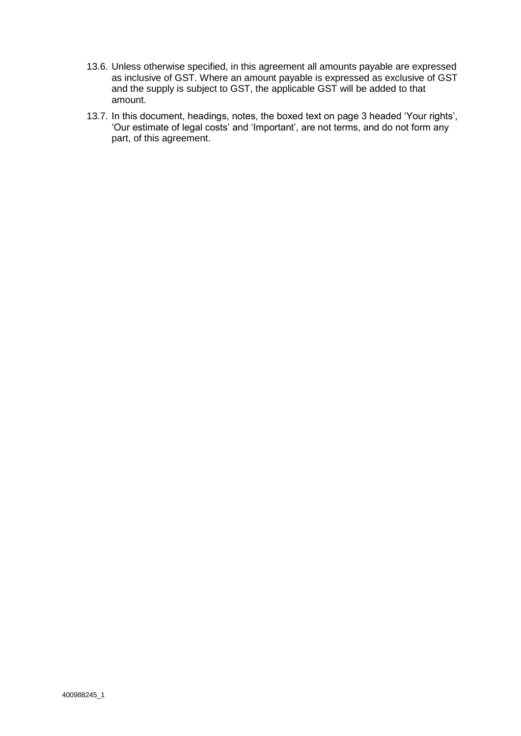- 13.6. Unless otherwise specified, in this agreement all amounts payable are expressed as inclusive of GST. Where an amount payable is expressed as exclusive of GST and the supply is subject to GST, the applicable GST will be added to that amount.
- 13.7. In this document, headings, notes, the boxed text on page 3 headed 'Your rights', 'Our estimate of legal costs' and 'Important', are not terms, and do not form any part, of this agreement.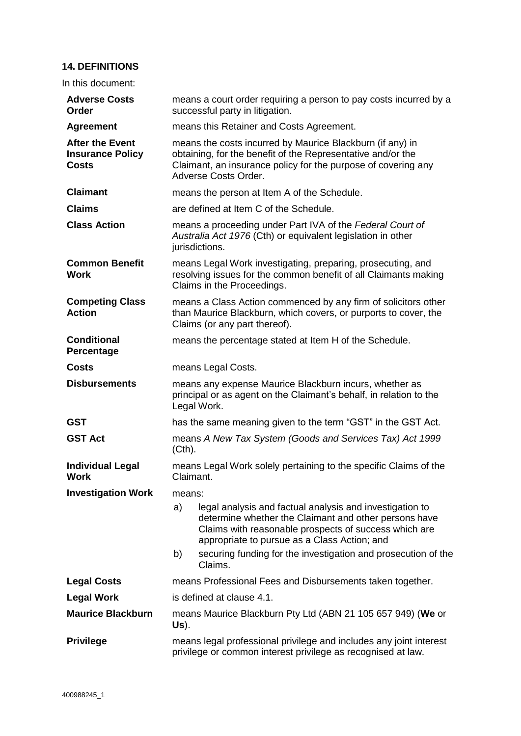# **14. DEFINITIONS**

In this document:

| <b>Adverse Costs</b><br>Order                                     | means a court order requiring a person to pay costs incurred by a<br>successful party in litigation.                                                                                                                             |  |  |
|-------------------------------------------------------------------|----------------------------------------------------------------------------------------------------------------------------------------------------------------------------------------------------------------------------------|--|--|
| <b>Agreement</b>                                                  | means this Retainer and Costs Agreement.                                                                                                                                                                                         |  |  |
| <b>After the Event</b><br><b>Insurance Policy</b><br><b>Costs</b> | means the costs incurred by Maurice Blackburn (if any) in<br>obtaining, for the benefit of the Representative and/or the<br>Claimant, an insurance policy for the purpose of covering any<br>Adverse Costs Order.                |  |  |
| <b>Claimant</b>                                                   | means the person at Item A of the Schedule.                                                                                                                                                                                      |  |  |
| <b>Claims</b>                                                     | are defined at Item C of the Schedule.                                                                                                                                                                                           |  |  |
| <b>Class Action</b>                                               | means a proceeding under Part IVA of the Federal Court of<br>Australia Act 1976 (Cth) or equivalent legislation in other<br>jurisdictions.                                                                                       |  |  |
| <b>Common Benefit</b><br><b>Work</b>                              | means Legal Work investigating, preparing, prosecuting, and<br>resolving issues for the common benefit of all Claimants making<br>Claims in the Proceedings.                                                                     |  |  |
| <b>Competing Class</b><br><b>Action</b>                           | means a Class Action commenced by any firm of solicitors other<br>than Maurice Blackburn, which covers, or purports to cover, the<br>Claims (or any part thereof).                                                               |  |  |
| <b>Conditional</b><br>Percentage                                  | means the percentage stated at Item H of the Schedule.                                                                                                                                                                           |  |  |
| <b>Costs</b>                                                      | means Legal Costs.                                                                                                                                                                                                               |  |  |
| <b>Disbursements</b>                                              | means any expense Maurice Blackburn incurs, whether as<br>principal or as agent on the Claimant's behalf, in relation to the<br>Legal Work.                                                                                      |  |  |
| <b>GST</b>                                                        | has the same meaning given to the term "GST" in the GST Act.                                                                                                                                                                     |  |  |
| <b>GST Act</b>                                                    | means A New Tax System (Goods and Services Tax) Act 1999<br>$(Cth)$ .                                                                                                                                                            |  |  |
| <b>Individual Legal</b><br><b>Work</b>                            | means Legal Work solely pertaining to the specific Claims of the<br>Claimant.                                                                                                                                                    |  |  |
| <b>Investigation Work</b>                                         | means:                                                                                                                                                                                                                           |  |  |
|                                                                   | a)<br>legal analysis and factual analysis and investigation to<br>determine whether the Claimant and other persons have<br>Claims with reasonable prospects of success which are<br>appropriate to pursue as a Class Action; and |  |  |
|                                                                   | securing funding for the investigation and prosecution of the<br>b)<br>Claims.                                                                                                                                                   |  |  |
| <b>Legal Costs</b>                                                | means Professional Fees and Disbursements taken together.                                                                                                                                                                        |  |  |
| <b>Legal Work</b>                                                 | is defined at clause 4.1.                                                                                                                                                                                                        |  |  |
| <b>Maurice Blackburn</b>                                          | means Maurice Blackburn Pty Ltd (ABN 21 105 657 949) (We or<br>Us).                                                                                                                                                              |  |  |
| <b>Privilege</b>                                                  | means legal professional privilege and includes any joint interest<br>privilege or common interest privilege as recognised at law.                                                                                               |  |  |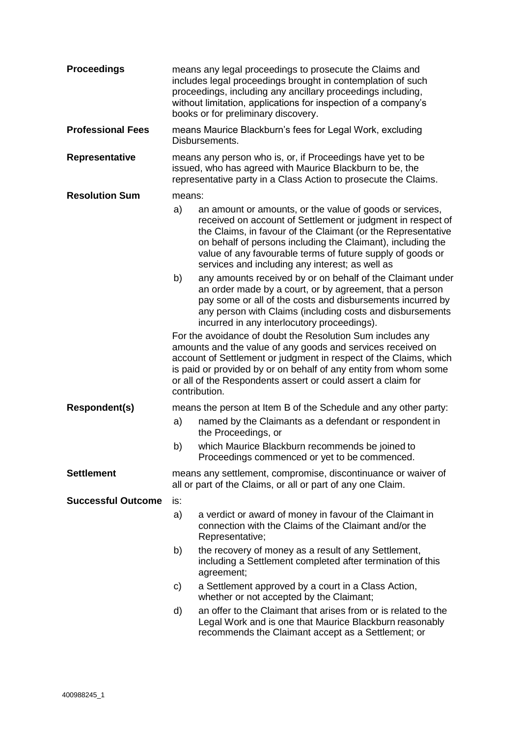| <b>Proceedings</b>        |                                                                                                                                                                                                                                                                                                                                                     | means any legal proceedings to prosecute the Claims and<br>includes legal proceedings brought in contemplation of such<br>proceedings, including any ancillary proceedings including,<br>without limitation, applications for inspection of a company's<br>books or for preliminary discovery.                                                                          |  |  |
|---------------------------|-----------------------------------------------------------------------------------------------------------------------------------------------------------------------------------------------------------------------------------------------------------------------------------------------------------------------------------------------------|-------------------------------------------------------------------------------------------------------------------------------------------------------------------------------------------------------------------------------------------------------------------------------------------------------------------------------------------------------------------------|--|--|
| <b>Professional Fees</b>  |                                                                                                                                                                                                                                                                                                                                                     | means Maurice Blackburn's fees for Legal Work, excluding<br>Disbursements.                                                                                                                                                                                                                                                                                              |  |  |
| Representative            |                                                                                                                                                                                                                                                                                                                                                     | means any person who is, or, if Proceedings have yet to be<br>issued, who has agreed with Maurice Blackburn to be, the<br>representative party in a Class Action to prosecute the Claims.                                                                                                                                                                               |  |  |
| <b>Resolution Sum</b>     | means:                                                                                                                                                                                                                                                                                                                                              |                                                                                                                                                                                                                                                                                                                                                                         |  |  |
|                           | a)                                                                                                                                                                                                                                                                                                                                                  | an amount or amounts, or the value of goods or services,<br>received on account of Settlement or judgment in respect of<br>the Claims, in favour of the Claimant (or the Representative<br>on behalf of persons including the Claimant), including the<br>value of any favourable terms of future supply of goods or<br>services and including any interest; as well as |  |  |
|                           | b)                                                                                                                                                                                                                                                                                                                                                  | any amounts received by or on behalf of the Claimant under<br>an order made by a court, or by agreement, that a person<br>pay some or all of the costs and disbursements incurred by<br>any person with Claims (including costs and disbursements<br>incurred in any interlocutory proceedings).                                                                        |  |  |
|                           | For the avoidance of doubt the Resolution Sum includes any<br>amounts and the value of any goods and services received on<br>account of Settlement or judgment in respect of the Claims, which<br>is paid or provided by or on behalf of any entity from whom some<br>or all of the Respondents assert or could assert a claim for<br>contribution. |                                                                                                                                                                                                                                                                                                                                                                         |  |  |
| Respondent(s)             | means the person at Item B of the Schedule and any other party:                                                                                                                                                                                                                                                                                     |                                                                                                                                                                                                                                                                                                                                                                         |  |  |
|                           | a)                                                                                                                                                                                                                                                                                                                                                  | named by the Claimants as a defendant or respondent in<br>the Proceedings, or                                                                                                                                                                                                                                                                                           |  |  |
|                           | b)                                                                                                                                                                                                                                                                                                                                                  | which Maurice Blackburn recommends be joined to<br>Proceedings commenced or yet to be commenced.                                                                                                                                                                                                                                                                        |  |  |
| <b>Settlement</b>         | means any settlement, compromise, discontinuance or waiver of<br>all or part of the Claims, or all or part of any one Claim.                                                                                                                                                                                                                        |                                                                                                                                                                                                                                                                                                                                                                         |  |  |
| <b>Successful Outcome</b> | is:                                                                                                                                                                                                                                                                                                                                                 |                                                                                                                                                                                                                                                                                                                                                                         |  |  |
|                           | a)                                                                                                                                                                                                                                                                                                                                                  | a verdict or award of money in favour of the Claimant in<br>connection with the Claims of the Claimant and/or the<br>Representative;                                                                                                                                                                                                                                    |  |  |
|                           | b)                                                                                                                                                                                                                                                                                                                                                  | the recovery of money as a result of any Settlement,<br>including a Settlement completed after termination of this<br>agreement;                                                                                                                                                                                                                                        |  |  |
|                           | C)                                                                                                                                                                                                                                                                                                                                                  | a Settlement approved by a court in a Class Action,<br>whether or not accepted by the Claimant;                                                                                                                                                                                                                                                                         |  |  |
|                           | d)                                                                                                                                                                                                                                                                                                                                                  | an offer to the Claimant that arises from or is related to the<br>Legal Work and is one that Maurice Blackburn reasonably<br>recommends the Claimant accept as a Settlement; or                                                                                                                                                                                         |  |  |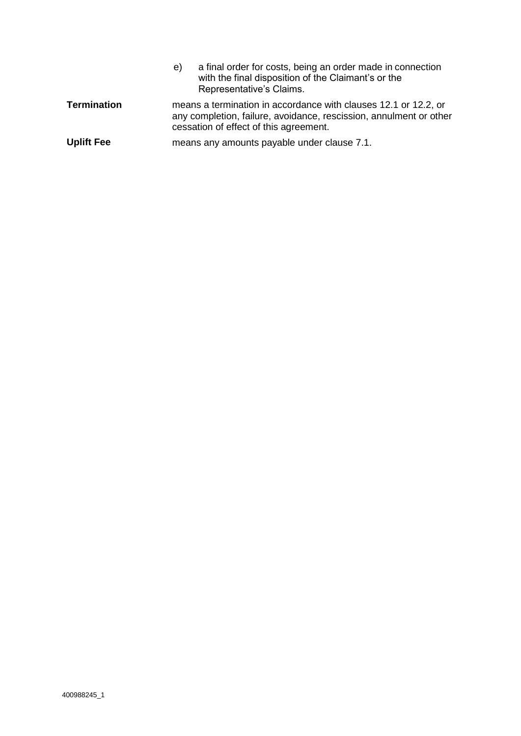|                    | a final order for costs, being an order made in connection<br>e)<br>with the final disposition of the Claimant's or the<br>Representative's Claims.                             |
|--------------------|---------------------------------------------------------------------------------------------------------------------------------------------------------------------------------|
| <b>Termination</b> | means a termination in accordance with clauses 12.1 or 12.2, or<br>any completion, failure, avoidance, rescission, annulment or other<br>cessation of effect of this agreement. |
| <b>Uplift Fee</b>  | means any amounts payable under clause 7.1.                                                                                                                                     |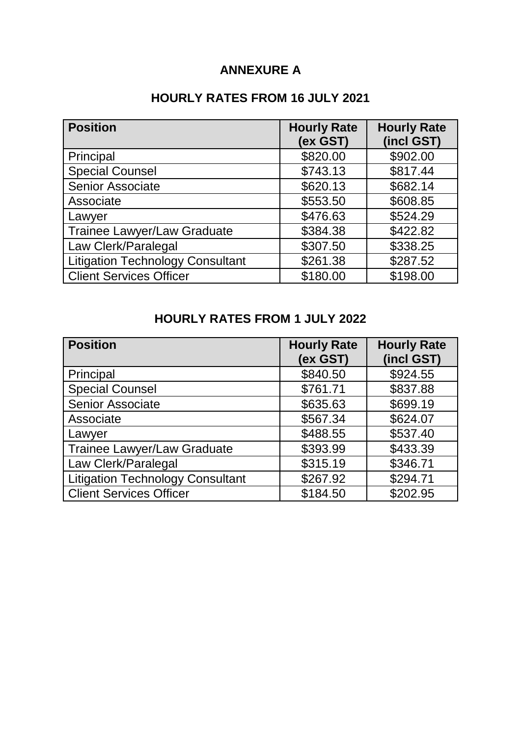# **ANNEXURE A**

# **HOURLY RATES FROM 16 JULY 2021**

| <b>Position</b>                         | <b>Hourly Rate</b><br>(ex GST) | <b>Hourly Rate</b><br>(incl GST) |
|-----------------------------------------|--------------------------------|----------------------------------|
| Principal                               | \$820.00                       | \$902.00                         |
| <b>Special Counsel</b>                  | \$743.13                       | \$817.44                         |
| Senior Associate                        | \$620.13                       | \$682.14                         |
| Associate                               | \$553.50                       | \$608.85                         |
| Lawyer                                  | \$476.63                       | \$524.29                         |
| <b>Trainee Lawyer/Law Graduate</b>      | \$384.38                       | \$422.82                         |
| Law Clerk/Paralegal                     | \$307.50                       | \$338.25                         |
| <b>Litigation Technology Consultant</b> | \$261.38                       | \$287.52                         |
| <b>Client Services Officer</b>          | \$180.00                       | \$198.00                         |

# **HOURLY RATES FROM 1 JULY 2022**

| <b>Position</b>                         | <b>Hourly Rate</b><br>(ex GST) | <b>Hourly Rate</b><br>(incl GST) |
|-----------------------------------------|--------------------------------|----------------------------------|
| Principal                               | \$840.50                       | \$924.55                         |
| <b>Special Counsel</b>                  | \$761.71                       | \$837.88                         |
| <b>Senior Associate</b>                 | \$635.63                       | \$699.19                         |
| Associate                               | \$567.34                       | \$624.07                         |
| Lawyer                                  | \$488.55                       | \$537.40                         |
| <b>Trainee Lawyer/Law Graduate</b>      | \$393.99                       | \$433.39                         |
| Law Clerk/Paralegal                     | \$315.19                       | \$346.71                         |
| <b>Litigation Technology Consultant</b> | \$267.92                       | \$294.71                         |
| <b>Client Services Officer</b>          | \$184.50                       | \$202.95                         |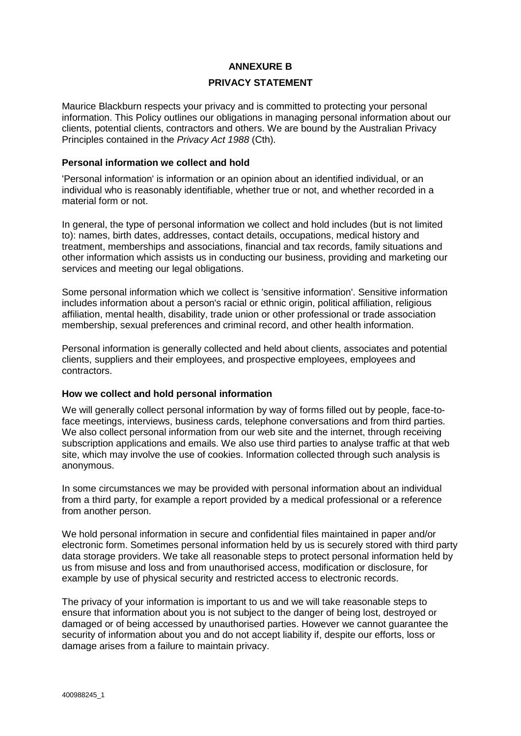## **ANNEXURE B**

#### **PRIVACY STATEMENT**

Maurice Blackburn respects your privacy and is committed to protecting your personal information. This Policy outlines our obligations in managing personal information about our clients, potential clients, contractors and others. We are bound by the Australian Privacy Principles contained in the *Privacy Act 1988* (Cth).

#### **Personal information we collect and hold**

'Personal information' is information or an opinion about an identified individual, or an individual who is reasonably identifiable, whether true or not, and whether recorded in a material form or not.

In general, the type of personal information we collect and hold includes (but is not limited to): names, birth dates, addresses, contact details, occupations, medical history and treatment, memberships and associations, financial and tax records, family situations and other information which assists us in conducting our business, providing and marketing our services and meeting our legal obligations.

Some personal information which we collect is 'sensitive information'. Sensitive information includes information about a person's racial or ethnic origin, political affiliation, religious affiliation, mental health, disability, trade union or other professional or trade association membership, sexual preferences and criminal record, and other health information.

Personal information is generally collected and held about clients, associates and potential clients, suppliers and their employees, and prospective employees, employees and contractors.

#### **How we collect and hold personal information**

We will generally collect personal information by way of forms filled out by people, face-toface meetings, interviews, business cards, telephone conversations and from third parties. We also collect personal information from our web site and the internet, through receiving subscription applications and emails. We also use third parties to analyse traffic at that web site, which may involve the use of cookies. Information collected through such analysis is anonymous.

In some circumstances we may be provided with personal information about an individual from a third party, for example a report provided by a medical professional or a reference from another person.

We hold personal information in secure and confidential files maintained in paper and/or electronic form. Sometimes personal information held by us is securely stored with third party data storage providers. We take all reasonable steps to protect personal information held by us from misuse and loss and from unauthorised access, modification or disclosure, for example by use of physical security and restricted access to electronic records.

The privacy of your information is important to us and we will take reasonable steps to ensure that information about you is not subject to the danger of being lost, destroyed or damaged or of being accessed by unauthorised parties. However we cannot guarantee the security of information about you and do not accept liability if, despite our efforts, loss or damage arises from a failure to maintain privacy.